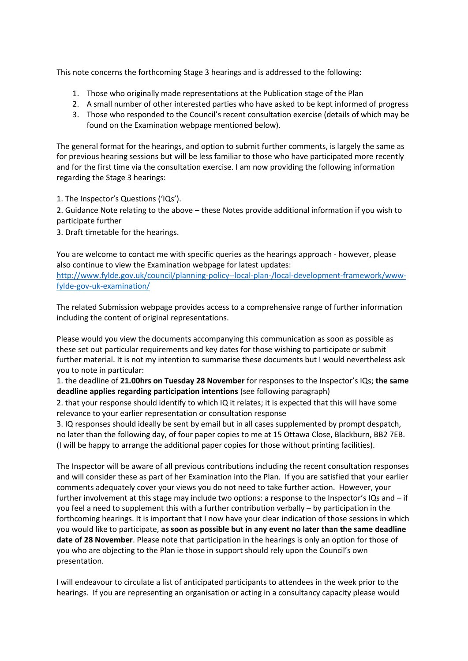This note concerns the forthcoming Stage 3 hearings and is addressed to the following:

- 1. Those who originally made representations at the Publication stage of the Plan
- 2. A small number of other interested parties who have asked to be kept informed of progress
- 3. Those who responded to the Council's recent consultation exercise (details of which may be found on the Examination webpage mentioned below).

The general format for the hearings, and option to submit further comments, is largely the same as for previous hearing sessions but will be less familiar to those who have participated more recently and for the first time via the consultation exercise. I am now providing the following information regarding the Stage 3 hearings:

1. The Inspector's Questions ('IQs').

2. Guidance Note relating to the above – these Notes provide additional information if you wish to participate further

3. Draft timetable for the hearings.

You are welcome to contact me with specific queries as the hearings approach - however, please also continue to view the Examination webpage for latest updates:

[http://www.fylde.gov.uk/council/planning-policy--local-plan-/local-development-framework/www](http://www.fylde.gov.uk/council/planning-policy--local-plan-/local-development-framework/www-fylde-gov-uk-examination/)[fylde-gov-uk-examination/](http://www.fylde.gov.uk/council/planning-policy--local-plan-/local-development-framework/www-fylde-gov-uk-examination/)

The related Submission webpage provides access to a comprehensive range of further information including the content of original representations.

Please would you view the documents accompanying this communication as soon as possible as these set out particular requirements and key dates for those wishing to participate or submit further material. It is not my intention to summarise these documents but I would nevertheless ask you to note in particular:

1. the deadline of **21.00hrs on Tuesday 28 November** for responses to the Inspector's IQs; **the same deadline applies regarding participation intentions** (see following paragraph)

2. that your response should identify to which IQ it relates; it is expected that this will have some relevance to your earlier representation or consultation response

3. IQ responses should ideally be sent by email but in all cases supplemented by prompt despatch, no later than the following day, of four paper copies to me at 15 Ottawa Close, Blackburn, BB2 7EB. (I will be happy to arrange the additional paper copies for those without printing facilities).

The Inspector will be aware of all previous contributions including the recent consultation responses and will consider these as part of her Examination into the Plan. If you are satisfied that your earlier comments adequately cover your views you do not need to take further action. However, your further involvement at this stage may include two options: a response to the Inspector's IQs and – if you feel a need to supplement this with a further contribution verbally – by participation in the forthcoming hearings. It is important that I now have your clear indication of those sessions in which you would like to participate, **as soon as possible but in any event no later than the same deadline date of 28 November**. Please note that participation in the hearings is only an option for those of you who are objecting to the Plan ie those in support should rely upon the Council's own presentation.

I will endeavour to circulate a list of anticipated participants to attendees in the week prior to the hearings. If you are representing an organisation or acting in a consultancy capacity please would